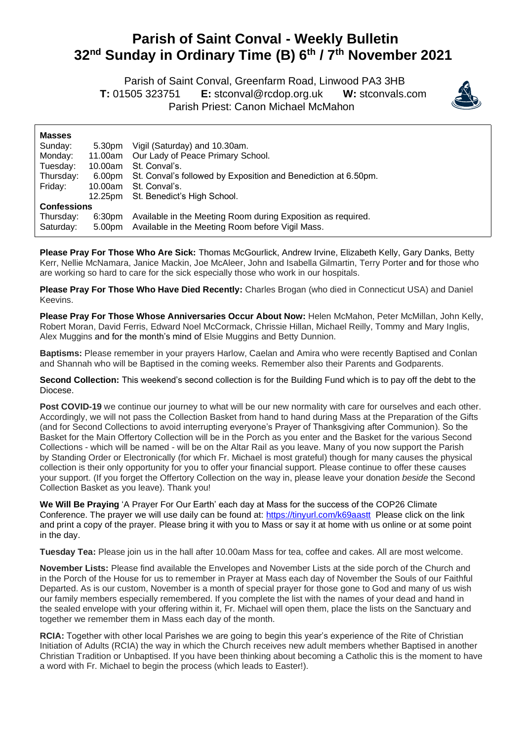## **Parish of Saint Conval - Weekly Bulletin 32 nd Sunday in Ordinary Time (B) 6 th / 7th November 2021**

 Parish of Saint Conval, Greenfarm Road, Linwood PA3 3HB **T:** 01505 323751 **E:** [stconval@rcdop.org.uk](mailto:stconval@rcdop.org.uk) **W:** stconvals.com Parish Priest: Canon Michael McMahon



| <b>Masses</b>      |                    |                                                                |
|--------------------|--------------------|----------------------------------------------------------------|
| Sunday:            | 5.30pm             | Vigil (Saturday) and 10.30am.                                  |
| Monday:            | 11.00am            | Our Lady of Peace Primary School.                              |
| Tuesday:           | 10.00am            | St. Conval's.                                                  |
| Thursday:          | 6.00pm             | St. Conval's followed by Exposition and Benediction at 6.50pm. |
| Friday:            | 10.00am            | St. Conval's.                                                  |
|                    | 12.25pm            | St. Benedict's High School.                                    |
| <b>Confessions</b> |                    |                                                                |
| Thursday:          | 6:30 <sub>pm</sub> | Available in the Meeting Room during Exposition as required.   |
| Saturday:          | 5.00pm             | Available in the Meeting Room before Vigil Mass.               |

**Please Pray For Those Who Are Sick:** Thomas McGourlick, Andrew Irvine, Elizabeth Kelly, Gary Danks, Betty Kerr, Nellie McNamara, Janice Mackin, Joe McAleer, John and Isabella Gilmartin, Terry Porter and for those who are working so hard to care for the sick especially those who work in our hospitals.

**Please Pray For Those Who Have Died Recently:** Charles Brogan (who died in Connecticut USA) and Daniel Keevins.

**Please Pray For Those Whose Anniversaries Occur About Now:** Helen McMahon, Peter McMillan, John Kelly, Robert Moran, David Ferris, Edward Noel McCormack, Chrissie Hillan, Michael Reilly, Tommy and Mary Inglis, Alex Muggins and for the month's mind of Elsie Muggins and Betty Dunnion.

**Baptisms:** Please remember in your prayers Harlow, Caelan and Amira who were recently Baptised and Conlan and Shannah who will be Baptised in the coming weeks. Remember also their Parents and Godparents.

**Second Collection:** This weekend's second collection is for the Building Fund which is to pay off the debt to the Diocese.

Post COVID-19 we continue our journey to what will be our new normality with care for ourselves and each other. Accordingly, we will not pass the Collection Basket from hand to hand during Mass at the Preparation of the Gifts (and for Second Collections to avoid interrupting everyone's Prayer of Thanksgiving after Communion). So the Basket for the Main Offertory Collection will be in the Porch as you enter and the Basket for the various Second Collections - which will be named - will be on the Altar Rail as you leave. Many of you now support the Parish by Standing Order or Electronically (for which Fr. Michael is most grateful) though for many causes the physical collection is their only opportunity for you to offer your financial support. Please continue to offer these causes your support. (If you forget the Offertory Collection on the way in, please leave your donation *beside* the Second Collection Basket as you leave). Thank you!

**We Will Be Praying** 'A Prayer For Our Earth' each day at Mass for the success of the COP26 Climate Conference. The prayer we will use daily can be found at: <https://tinyurl.com/k69aastt>Please click on the link and print a copy of the prayer. Please bring it with you to Mass or say it at home with us online or at some point in the day.

**Tuesday Tea:** Please join us in the hall after 10.00am Mass for tea, coffee and cakes. All are most welcome.

**November Lists:** Please find available the Envelopes and November Lists at the side porch of the Church and in the Porch of the House for us to remember in Prayer at Mass each day of November the Souls of our Faithful Departed. As is our custom, November is a month of special prayer for those gone to God and many of us wish our family members especially remembered. If you complete the list with the names of your dead and hand in the sealed envelope with your offering within it, Fr. Michael will open them, place the lists on the Sanctuary and together we remember them in Mass each day of the month.

**RCIA:** Together with other local Parishes we are going to begin this year's experience of the Rite of Christian Initiation of Adults (RCIA) the way in which the Church receives new adult members whether Baptised in another Christian Tradition or Unbaptised. If you have been thinking about becoming a Catholic this is the moment to have a word with Fr. Michael to begin the process (which leads to Easter!).